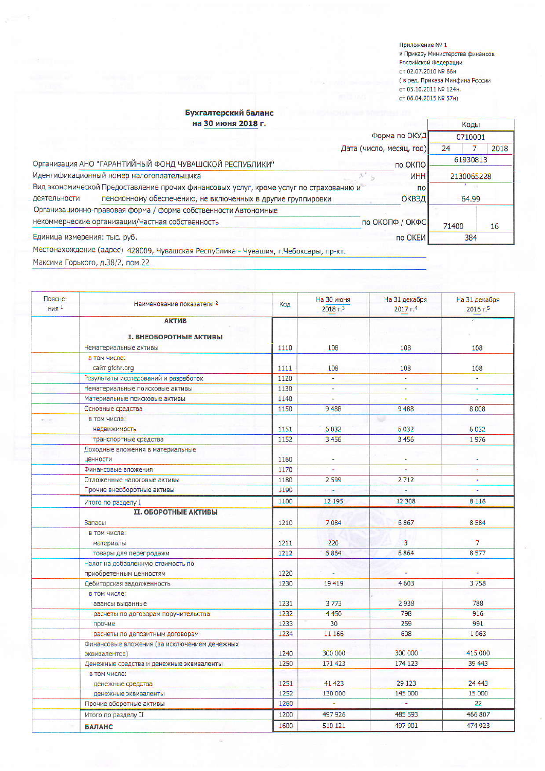Приложение № 1 к Приказу Министерства финансов<br>Российской Федерации от 02.07.2010 № 66н ( в ред. Приказа Минфина России от 05.10.2011 № 124н, от 06.04.2015 № 57н)

## Бухгалтерский баланс .<br>на 30 июня 2018 г.

|                                                         | на зо июня 2018 г.                                                                     |                          |                 | Коды       |      |
|---------------------------------------------------------|----------------------------------------------------------------------------------------|--------------------------|-----------------|------------|------|
|                                                         |                                                                                        |                          | Форма по ОКУД   | 0710001    |      |
|                                                         |                                                                                        | Дата (число, месяц, год) |                 | 24         | 2018 |
| Организация АНО "ГАРАНТИЙНЫЙ ФОНД ЧУВАШСКОЙ РЕСПУБЛИКИ" |                                                                                        | по ОКПО                  |                 | 61930813   |      |
|                                                         | Идентификационный номер налогоплательщика                                              |                          | <b>UHH</b>      | 2130065228 |      |
|                                                         | Вид экономической Предоставление прочих финансовых услуг, кроме услуг по страхованию и |                          | $\overline{10}$ |            |      |
| деятельности                                            | пенсионному обеспечению, не включенных в другие группировки                            |                          | <b>ОКВЭД</b>    | 64.99      |      |
|                                                         | Организационно-правовая форма / форма собственности Автономные                         |                          |                 |            |      |
|                                                         | некоммерческие организации/Частная собственность                                       | по ОКОПФ / ОКФС          |                 | 71400      | 16   |
| Единица измерения: тыс. руб.                            |                                                                                        |                          | по ОКЕИ         | 384        |      |
|                                                         | Местонахождение (адрес) 428009 Чувашская Республика - Чувашия, с Чебоксары, пр-кт      |                          |                 |            |      |

Максима Горького, д.38/2, пом.22

| Поясне-<br>HM <sup>1</sup> | Наименование показателя 2                    | Код  | На 30 июня<br>2018r <sup>3</sup> | На 31 декабря<br>2017r <sup>4</sup> | На 31 декабря<br>2016r.5 |
|----------------------------|----------------------------------------------|------|----------------------------------|-------------------------------------|--------------------------|
|                            | <b>АКТИВ</b>                                 |      |                                  |                                     |                          |
|                            |                                              |      |                                  |                                     |                          |
|                            | <b>I. ВНЕОБОРОТНЫЕ АКТИВЫ</b>                |      |                                  |                                     |                          |
|                            | Нематериальные активы                        | 1110 | 108                              | 108                                 | 108                      |
|                            | в том числе:                                 |      |                                  |                                     |                          |
|                            | сайт gfchr.org                               | 1111 | 108                              | 108                                 | 108                      |
|                            | Результаты исследований и разработок         | 1120 | $\blacksquare$                   |                                     | Ξ                        |
|                            | Нематериальные поисковые активы              | 1130 | L.                               |                                     | u,                       |
|                            | Материальные поисковые активы                | 1140 | $\overline{\phantom{a}}$         | ÷                                   | $\overline{\phantom{a}}$ |
|                            | Основные средства                            | 1150 | 9488                             | 9488                                | 8008                     |
|                            | в том числе:                                 |      |                                  | NG                                  |                          |
|                            | недвижимость                                 | 1151 | 6032                             | 6032                                | 6032                     |
|                            | транспортные средства                        | 1152 | 3456                             | 3456                                | 1976                     |
|                            | Доходные вложения в материальные             |      |                                  |                                     |                          |
|                            | ценности                                     | 1160 | i.                               |                                     | Ξ                        |
|                            | Финансовые вложения                          | 1170 | s,                               |                                     | ×                        |
|                            | Отложенные налоговые активы                  | 1180 | 2599                             | 2712                                | ÷                        |
|                            | Прочие внеоборотные активы                   | 1190 |                                  |                                     |                          |
|                            | Итого по разделу I                           | 1100 | 12 195                           | 12 308                              | 8 1 1 6                  |
|                            | <b>II. ОБОРОТНЫЕ АКТИВЫ</b>                  |      |                                  |                                     |                          |
|                            | Запасы                                       | 1210 | 7084                             | 6867                                | 8584                     |
|                            | в том числе:                                 |      |                                  |                                     |                          |
|                            | материалы                                    | 1211 | 220                              | 3                                   | $\overline{7}$           |
|                            | товары для перепродажи                       | 1212 | 6864                             | 6864                                | 8577                     |
|                            | Налог на добавленную стоимость по            |      |                                  |                                     |                          |
|                            | приобретенным ценностям                      | 1220 |                                  |                                     | ÷.                       |
|                            | Дебиторская задолженность                    | 1230 | 19 419                           | 4603                                | 3758                     |
|                            | в том числе:                                 |      |                                  |                                     |                          |
|                            | авансы выданные                              | 1231 | 3773                             | 2938                                | 788                      |
|                            | расчеты по договорам поручительства          | 1232 | 4450                             | 798                                 | 916                      |
|                            | прочие                                       | 1233 | 30                               | 259                                 | 991                      |
|                            | расчеты по депозитным договорам              | 1234 | 11 166                           | 608                                 | 1063                     |
|                            | Финансовые вложения (за исключением денежных |      |                                  |                                     |                          |
|                            | эквивалентов)                                | 1240 | 300 000                          | 300 000                             | 415 000                  |
|                            | Денежные средства и денежные эквиваленты     | 1250 | 171 423                          | 174 123                             | 39 443                   |
|                            | в том числе:                                 |      |                                  |                                     |                          |
|                            | денежные средства                            | 1251 | 41 4 23                          | 29 1 23                             | 24 4 43                  |
|                            | денежные эквиваленты                         | 1252 | 130 000                          | 145 000                             | 15 000                   |
|                            | Прочие оборотные активы                      | 1260 | ÷.                               | 富                                   | 22                       |
|                            | Итого по разделу II                          | 1200 | 497 926                          | 485 593                             | 466 807                  |
|                            | <b>БАЛАНС</b>                                | 1600 | 510 121                          | 497 901                             | 474 923                  |